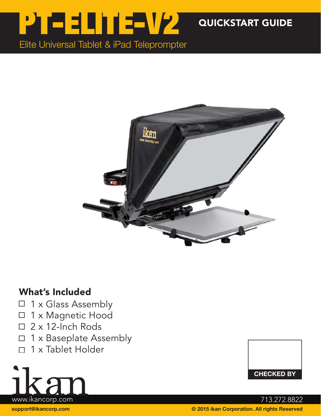

QUICKSTART GUIDE

Elite Universal Tablet & iPad Teleprompter



## What's Included

- $\Box$  1 x Glass Assembly
- 1 x Magnetic Hood  $\Box$
- 2 x 12-Inch Rods  $\Box$
- 1 x Baseplate Assembly  $\Box$
- 1 x Tablet Holder  $\Box$





support@ikancorp.com © 2015 ikan Corporation. All rights Reserved www.ikancorp.com 713.272.8822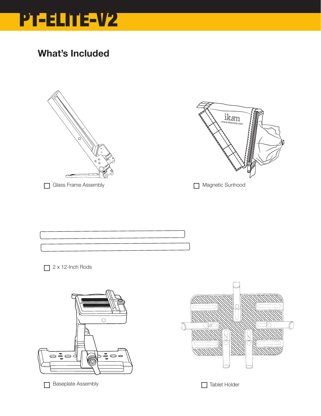

## What's Included





```
Magnetic Sunhood
```


2 x 12-Inch Rods



 $\Box$  Baseplate Assembly Tablet Holder

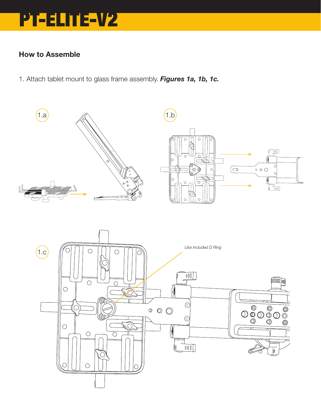

### How to Assemble

1. Attach tablet mount to glass frame assembly. *Figures 1a, 1b, 1c.*

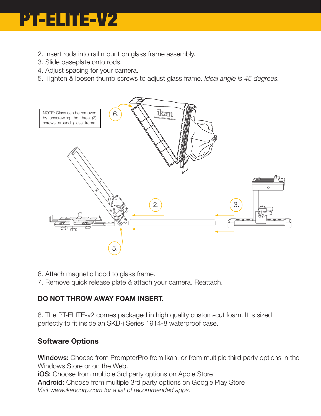

- 2. Insert rods into rail mount on glass frame assembly.
- 3. Slide baseplate onto rods.
- 4. Adjust spacing for your camera.
- 5. Tighten & loosen thumb screws to adjust glass frame. *Ideal angle is 45 degrees.*



6. Attach magnetic hood to glass frame.

7. Remove quick release plate & attach your camera. Reattach.

### DO NOT THROW AWAY FOAM INSERT.

8. The PT-ELITE-v2 comes packaged in high quality custom-cut foam. It is sized perfectly to fit inside an SKB-i Series 1914-8 waterproof case.

### Software Options

Windows: Choose from PrompterPro from Ikan, or from multiple third party options in the Windows Store or on the Web.

**iOS:** Choose from multiple 3rd party options on Apple Store Android: Choose from multiple 3rd party options on Google Play Store *Visit www.ikancorp.com for a list of recommended apps.*